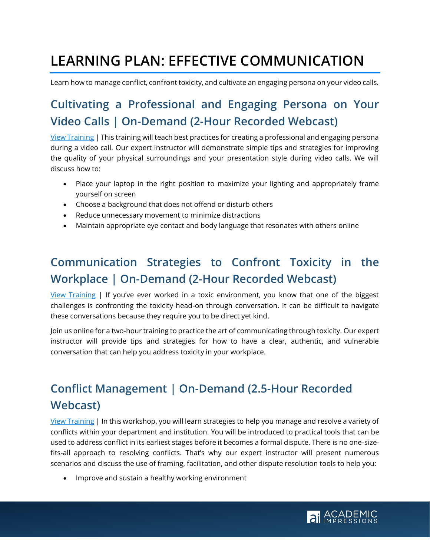## **LEARNING PLAN: EFFECTIVE COMMUNICATION**

Learn how to manage conflict, confront toxicity, and cultivate an engaging persona on your video calls.

## **Cultivating a Professional and Engaging Persona on Your Video Calls | On-Demand (2-Hour Recorded Webcast)**

[View Training](https://www.academicimpressions.com/cultivating-a-professional-and-engaging-persona-on-your-video-calls/) | This training will teach best practices for creating a professional and engaging persona during a video call. Our expert instructor will demonstrate simple tips and strategies for improving the quality of your physical surroundings and your presentation style during video calls. We will discuss how to:

- Place your laptop in the right position to maximize your lighting and appropriately frame yourself on screen
- Choose a background that does not offend or disturb others
- Reduce unnecessary movement to minimize distractions
- Maintain appropriate eye contact and body language that resonates with others online

## **Communication Strategies to Confront Toxicity in the Workplace | On-Demand (2-Hour Recorded Webcast)**

[View Training](https://www.academicimpressions.com/communication-strategies-to-confront-toxicity-in-the-workplace/) | If you've ever worked in a toxic environment, you know that one of the biggest challenges is confronting the toxicity head-on through conversation. It can be difficult to navigate these conversations because they require you to be direct yet kind.

Join us online for a two-hour training to practice the art of communicating through toxicity. Our expert instructor will provide tips and strategies for how to have a clear, authentic, and vulnerable conversation that can help you address toxicity in your workplace.

## **Conflict Management | On-Demand (2.5-Hour Recorded Webcast)**

[View Training](https://www.academicimpressions.com/product/0321-women-leadership-pre/) | In this workshop, you will learn strategies to help you manage and resolve a variety of conflicts within your department and institution. You will be introduced to practical tools that can be used to address conflict in its earliest stages before it becomes a formal dispute. There is no one-sizefits-all approach to resolving conflicts. That's why our expert instructor will present numerous scenarios and discuss the use of framing, facilitation, and other dispute resolution tools to help you:

• Improve and sustain a healthy working environment